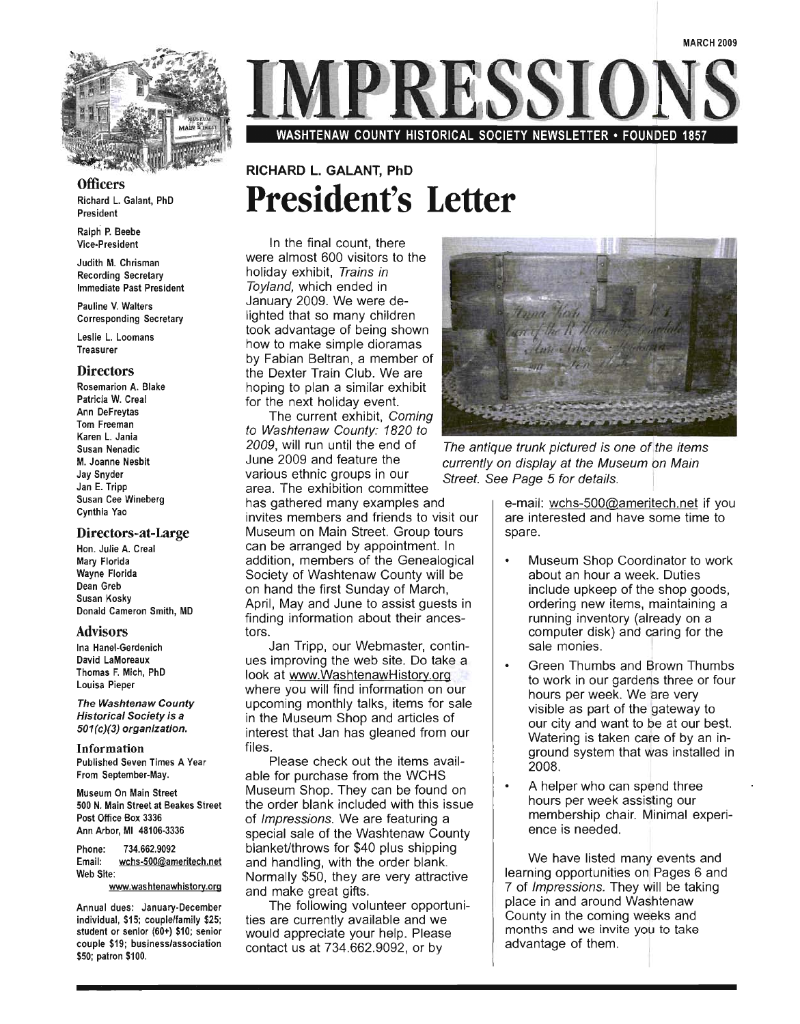

Officers Richard L. Galant, PhD

President Ralph P. Beebe

Vice-President

Judith M. Chrisman Recording Secretary Immediate Past President

Pauline V. Walters Corresponding Secretary

Leslie L. Loomans Treasurer

#### **Directors**

Rosemarion A. Blake Patricia W. Creal Ann DeFreytas Tom Freeman Karen L. Jania Susan Nenadic M. Joanne Nesbit Jay Snyder Jan E. Tripp Susan Cee Wineberg Cynthia Yao

#### Directors-at-Large

Hon. Julie A. Creal Mary Florida Wayne Florida Dean Greb Susan Kosky Donald Cameron Smith, MD

#### Advisors

Ina Hanel-Gerdenich David LaMoreaux Thomas F. Mich, PhD Louisa Pieper

The Washtenaw County Historical Society is a 501(c)(3) organization.

Information Published Seven Times A Year From September-May.

Museum On Main Street 500 N. Main Street at Beakes Street Post Office Box 3336 Ann Arbor, MI 48106-3336

Phone: 734.662.9092 Email: wchs-500@ameritech.net Web Site:

www.washtenawhistory.org

Annual dues: January-December individual, \$15; couple/family \$25; student or senior (60+) \$10; senior couple \$19; business/association \$50; patron \$100.

RESST

WASHTENAW COUNTY HISTORICAL SOCIETY NEWSLETTER· FOUNDED 1857

## **RICHARD L.** GALANT, **PhD President's Letter**

In the final count, there were almost 600 visitors to the holiday exhibit, Trains in Toyland, which ended in January 2009. We were delighted that so many children took advantage of being shown how to make simple dioramas by Fabian Beltran, a member of the Dexter Train Club. We are hoping to plan a similar exhibit for the next holiday event.

The current exhibit, Coming to Washtenaw County: 1820 to 2009, will run until the end of The antique trunk pictured is one of the items various ethnic groups in our Street. See Page 5 for details. area. The exhibition committee has gathered many examples and invites members and friends to visit our Museum on Main Street. Group tours can be arranged by appointment. In addition, members of the Genealogical SOciety of Washtenaw County will be on hand the first Sunday of March, April, May and June to assist guests in finding information about their ancestors.

Jan Tripp, our Webmaster, continues improving the web site. Do take a look at www.WashtenawHistory.org where you will find information on our upcoming monthly talks, items for sale in the Museum Shop and articles of interest that Jan has gleaned from our files.

Please check out the items available for purchase from the WCHS Museum Shop. They can be found on the order blank included with this issue of Impressions. We are featuring a special sale of the Washtenaw County blanket/throws for \$40 plus shipping and handling, with the order blank. Normally \$50, they are very attractive and make great gifts.

The following volunteer opportunities are currently available and we would appreciate your help. Please contact us at 734.662.9092, or by



June 2009 and feature the currently on display at the Museum on Main

e-mail: wchs-500@ameritech.net if you are interested and have some time to spare.

- Museum Shop Coordinator to work about an hour a week. Duties include upkeep of the shop goods, ordering new items, maintaining a running inventory (already on a computer disk) and caring for the sale monies.
- Green Thumbs and Brown Thumbs to work in our gardens three or four hours per week. We are very visible as part of the gateway to our city and want to be at our best. Watering is taken care of by an inground system that was installed in 2008.
- A helper who can spend three hours per week assisting our membership chair. Minimal experience is needed.

We have listed many events and learning opportunities on Pages 6 and 7 of Impressions. They will be taking place in and around Washtenaw County in the coming weeks and months and we invite you to take advantage of them.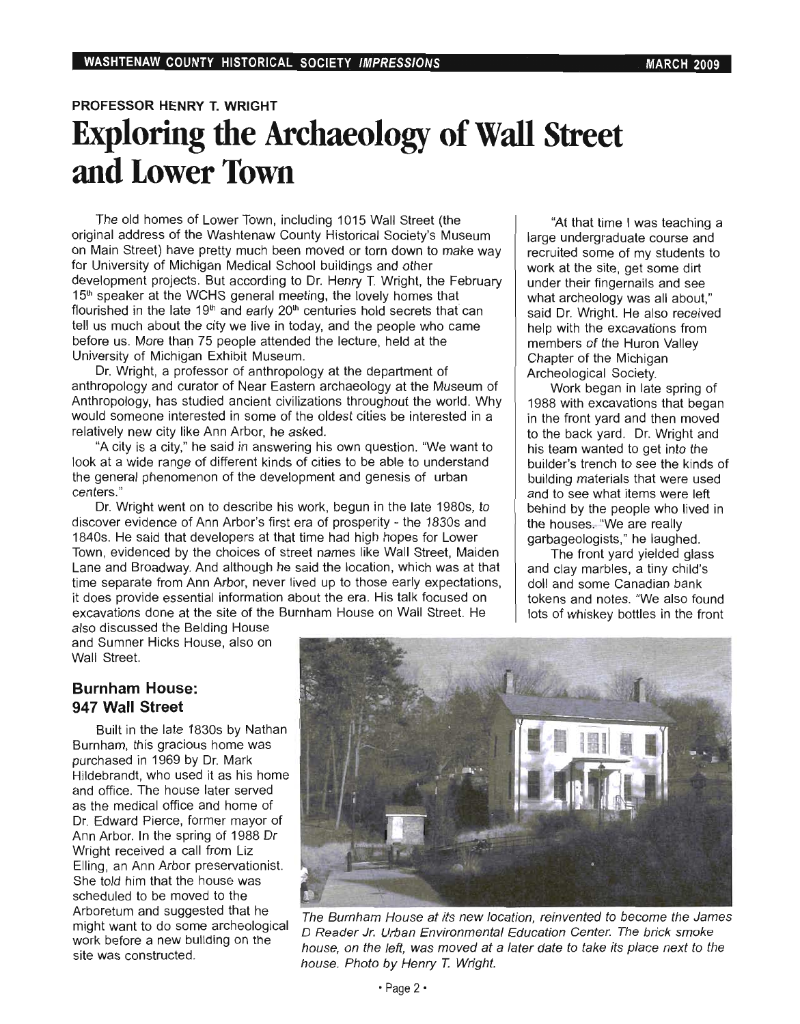## **PROFESSOR HENRY T. WRIGHT Exploring the Archaeology of Wall Street and Lower Town**

The old homes of Lower Town, including 1015 Wall Street (the original address of the Washtenaw County Historical Society's Museum on Main Street) have pretty much been moved or torn down to make way for University of Michigan Medical School buildings and other development projects. But according to Dr. Henry T. Wright, the February evelopment projects. But according to Dr. Henry T. Wright, the Fed<br>Ellie generalism of the WOHO general meeting, the lovely homes that 15<sup>th</sup> speaker at the WCHS general meeting, the lovely homes that can flourished in the late 19<sup>th</sup> and early 20<sup>th</sup> centuries hold secrets that can  $t$  us much about the city we live in today, and the people who came before us. More than 75 people attended the lecture, held at the before us. More than 75 people attended the lecture, held at the University of Michigan Exhibit Museum.

Dr. Wright, a professor of anthropology at the department of D. Wilght, a professor of anthropology at the department of anthropology and curator of Near Eastern archaeology at the Museum of Anthropology, has studied ancient civilizations throughout the world. Why would someone interested in some of the oldest cities be interested in a relatively new city like Ann Arbor, he asked.

"A city is a city," he said in answering his own question. "We want to look at a wide range of different kinds of cities to be able to understand the general phenomenon of the development and genesis of urban ce genera<br>" Dr. Wright went on to describe his work, begun in the late 1980s, to

discover evidence of Ann Arbor's first era of prosperity - the 1830s and 1840s. He said that developers at that time had high hopes for Lower Town , evidenced by the choices of street names like Wall Street, Maiden Lane and Broadway. And although he said the location, which was at that time and broadway. And annough he said the location, which was at that it does provide essential information about the era. His talk focused on it does provide essential information about the era. His talk focused on excavations done at the site of the Burnham House on Wall Street. He

"At that time I was teaching a Al that time I was teaching a large undergraduate course and recruited some of my students to work at the site, get some dirt under their fingernails and see what archeology was all about," said Dr. Wright. He also received help with the excavations from members of the Huron Valley Chapter of the Michigan Archeological Society.

Work began in late spring of 1988 with excavations that began in the front yard and then moved to the back yard. Dr. Wright and his team wanted to get into the builder's trench to see the kinds of building materials that were used and to see what items were left behind by the people who lived in the houses, "We are really garbageologists," he laughed.

The front yard yielded glass and clay marbles, a tiny child's doll and some Canadian bank tokens and notes. "We also found<br>lots of whiskey bottles in the front

also discussed the Belding House and Sumner Hicks House, also on Wall Street.

### **Burnham House: 947 Wall Street**

Built in the late 1830s by Nathan Burnham, this gracious home was purchased in 1969 by Dr. Mark Hildebrandt, who used it as his home and office. The house later served as the medical office and home of Dr. Edward Pierce, former mayor of Ann Arbor. In the spring of 1988 Dr Ann Arbor. In the spring of 1988 Dr<br>Wright received a call from Liz Elling, an Ann Arbor preservationist.  $S_{\rm{B}}$  and  $S_{\rm{B}}$  and  $S_{\rm{B}}$  that the house was  $S_{\rm{B}}$ She told him that the house was scheduled to be moved to the Arboretum and suggested that he might want to do some archeological work before a new building on the work before a new building on the<br>site was constructed.



 $T_{\rm eff}$  is new location, reinvented to become the James at its new location, reinvented to be  $T_{\rm eff}$ ne Burnham House at its new location, reinvented to become the Jame.<br>The britannia Corporation Center. The british shows were also assumed to the british of the britannia of the b D Reader Jr. Urban Environmental Education Center. The brick smoke house, on the left, was moved at a later date to take its place next to the house. Photo by Henry T. Wright.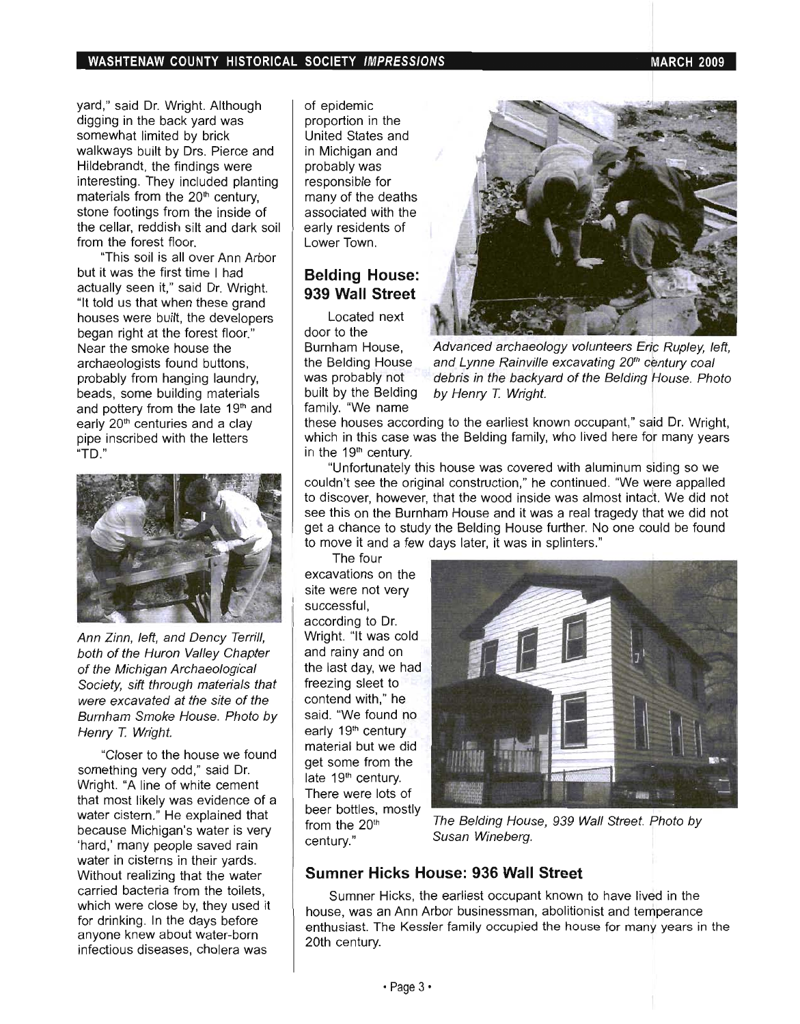yard," said Dr. Wright. Although digging in the back yard was somewhat limited by brick walkways built by Drs. Pierce and Hildebrandt, the findings were interesting. They included planting materials from the  $20<sup>th</sup>$  century, stone footings from the inside of the cellar, reddish silt and dark soil from the forest floor.

"This soil is all over Ann Arbor but it was the first time I had actually seen it," said Dr. Wright. "It told us that when these grand houses were built, the developers began right at the forest floor." Near the smoke house the archaeologists found buttons, probably from hanging laundry, beads, some building materials and pottery from the late 19<sup>th</sup> and early 20<sup>th</sup> centuries and a clay pipe inscribed with the letters "TO."



Ann Zinn, left, and Dency Terrill, both of the Huron Valley Chapter of the Michigan Archaeological Society, sift through materials that were excavated at the site of the Burnham Smoke House. Photo by Henry *T.* Wright.

"Closer to the house we found something very odd," said Dr. Wright. "A line of white cement that most likely was evidence of a water cistern." He explained that because Michigan's water is very 'hard,' many people saved rain water in cisterns in their yards. Without realizing that the water carried bacteria from the toilets, which were close by, they used it for drinking. In the days before anyone knew about water-born infectious diseases, cholera was

of epidemic proportion in the United States and in Michigan and probably was responsible for many of the deaths associated with the early residents of Lower Town.

## **Belding House: 939 Wall Street**

Located next door to the Burnham House, the Belding House was probably not built by the Belding family. "We name



Advanced archaeology volunteers Eric Rupley, left, and Lynne Rainville excavating 20<sup>th</sup> century coal debris in the backyard of the Belding House. Photo by Henry *T.* Wright.

these houses according to the earliest known occupant," said Dr. Wright, which in this case was the Belding family, who lived here for many years in the 19<sup>th</sup> century.

"Unfortunately this house was covered with aluminum siding so we couldn't see the original construction," he continued. "We were appalled to discover, however, that the wood inside was almost intaot. We did not see this on the Burnham House and it was a real tragedy that we did not get a chance to study the Belding House further. No one could be found to move it and a few days later, it was in splinters."

The four excavations on the site were not very successful, according to Dr. Wright. "It was cold and rainy and on the last day, we had freezing sleet to contend with," he said. "We found no early 19<sup>th</sup> century material but we did get some from the late 19<sup>th</sup> century. There were lots of beer bottles, mostly from the 20<sup>th</sup> century."



The Belding House, 939 Wall Street. Photo by Susan Wineberg.

### **Sumner Hicks House: 936 Wall Street**

Sumner Hicks, the earliest occupant known to have lived in the house, was an Ann Arbor businessman, abolitionist and temperance enthusiast. The Kessler family occupied the house for many years in the 20th century.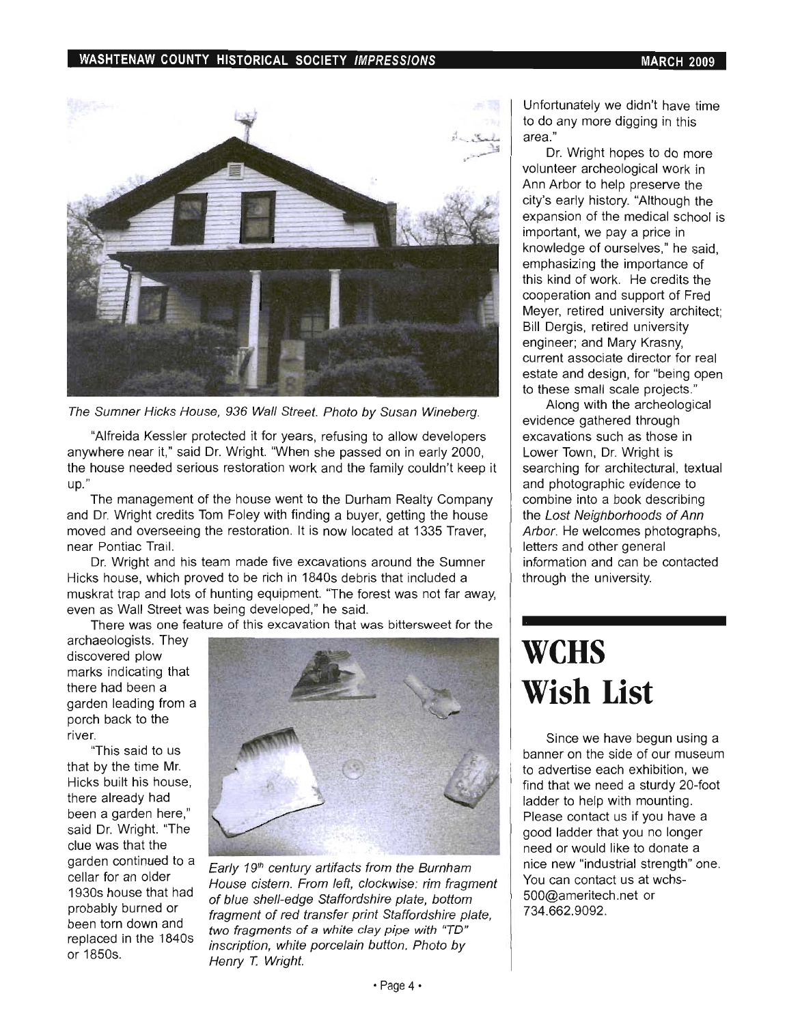#### WASHTENAW COUNTY HISTORICAL SOCIETY IMPRESSIONS NARCH 2009 MARCH 2009



The Sumner Hicks House, 936 Wall Street. Photo by Susan Wineberg.

"Alfreida Kessler protected it for years, refusing to allow developers anywhere near it," said Dr. Wright. "When she passed on in early 2000, the house needed serious restoration work and the family couldn't keep it up."

The management of the house went to the Durham Realty Company and Dr. Wright credits Tom Foley with finding a buyer, getting the house moved and overseeing the restoration. It is now located at 1335 Traver, near Pontiac Trail.

Dr. Wright and his team made five excavations around the Sumner Hicks house, which proved to be rich in 1840s debris that included a muskrat trap and lots of hunting equipment. "The forest was not far away, even as Wall Street was being developed," he said.

There was one feature of this excavation that was bittersweet for the

archaeologists. They discovered plow marks indicating that there had been a garden leading from a porch back to the river.

"This said to us that by the time Mr. Hicks built his house, there already had been a garden here," said Dr. Wright. "The clue was that the garden continued to a cellar for an older 1930s house that had probably burned or been torn down and replaced in the 1840s or 1850s.



Early 19<sup>th</sup> century artifacts from the Burnham House cistern. From left, clockwise: rim fragment of blue shell-edge Staffordshire plate, bottom fragment of red transfer print Staffordshire plate, two fragments of a white clay pipe with "TO" inscription, white porcelain button. Photo by Henry *T.* Wright.

Unfortunately we didn't have time to do any more digging in this area."

Dr. Wright hopes to do more volunteer archeological work in Ann Arbor to help preserve the city's early history. "Although the expansion of the medical school is important, we pay a price in knowledge of ourselves," he said, emphasizing the importance of this kind of work. He credits the cooperation and support of Fred Meyer, retired university architect; Bill Dergis, retired university. engineer; and Mary Krasny, current associate director for real estate and design, for "being open to these small scale projects."

Along with the archeological evidence gathered through excavations such as those in Lower Town, Dr. Wright is searching for architectural, textual and photographic evidence to combine into a book describing the Lost Neighborhoods of Ann Arbor. He welcomes photographs, letters and other general information and can be contacted through the university.

# **weHS Wish List**

Since we have begun using a banner on the side of our museum to advertise each exhibition, we find that we need a sturdy 20-foot ladder to help with mounting. Please contact us if you have a good ladder that you no longer need or would like to donate a nice new "industrial strength" one. You can contact us at wchs-500@ameritech.net or 734.662.9092.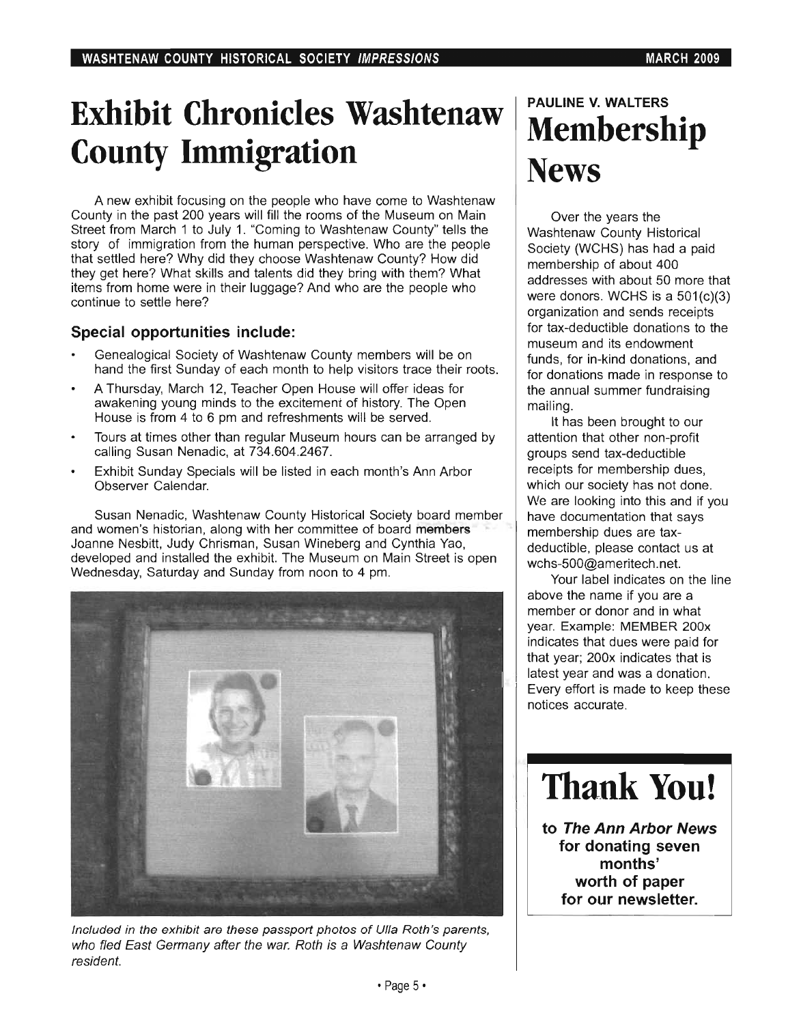# **Exhibit Chronicles Washtenaw County Immigration**

A new exhibit focusing on the people who have come to Washtenaw County in the past 200 years will fill the rooms of the Museum on Main Street from March 1 to July 1. "Coming to Washtenaw County" tells the story of immigration from the human perspective. Who are the people that settled here? Why did they choose Washtenaw County? How did they get here? What skills and talents did they bring with them? What items from home were in their luggage? And who are the people who continue to settle here?

### **Special opportunities include:**

- Genealogical Society of Washtenaw County members will be on hand the first Sunday of each month to help visitors trace their roots.
- A Thursday, March 12, Teacher Open House will offer ideas for awakening young minds to the excitement of history. The Open House is from 4 to 6 pm and refreshments will be served.
- Tours at times other than regular Museum hours can be arranged by calling Susan Nenadic, at 734.604.2467.
- Exhibit Sunday Specials will be listed in each month's Ann Arbor Observer Calendar.

Susan Nenadic, Washtenaw County Historical Society board member and women's historian, along with her committee of board members Joanne Nesbitt, Judy Chrisman, Susan Wineberg and Cynthia Yao, developed and installed the exhibit. The Museum on Main Street is open Wednesday, Saturday and Sunday from noon to 4 pm.



Included in the exhibit are these passport photos of Ulla Roth's parents, who fled East Germany after the war. Roth is a Washtenaw County resident.

# **PAULINE V. WALTERS Membership News**

Over the years the Washtenaw County Historical Society (WCHS) has had a paid membership of about 400 addresses with about 50 more that were donors. WCHS is a 501(c)(3) organization and sends receipts for tax-deductible donations to the museum and its endowment funds, for in-kind donations, and for donations made in response to the annual summer fundraising mailing.

It has been brought to our attention that other non-profit groups send tax-deductible receipts for membership dues, which our society has not done. We are looking into this and if you have documentation that says membership dues are taxdeductible, please contact us at wchs-500@ameritech.net.

Your label indicates on the line above the name if you are a member or donor and in what year. Example: MEMBER 200x indicates that dues were paid for that year; 200x indicates that is latest year and was a donation. Every effort is made to keep these notices accurate.



**to The Ann Arbor News for donating seven months' worth of paper for our newsletter.**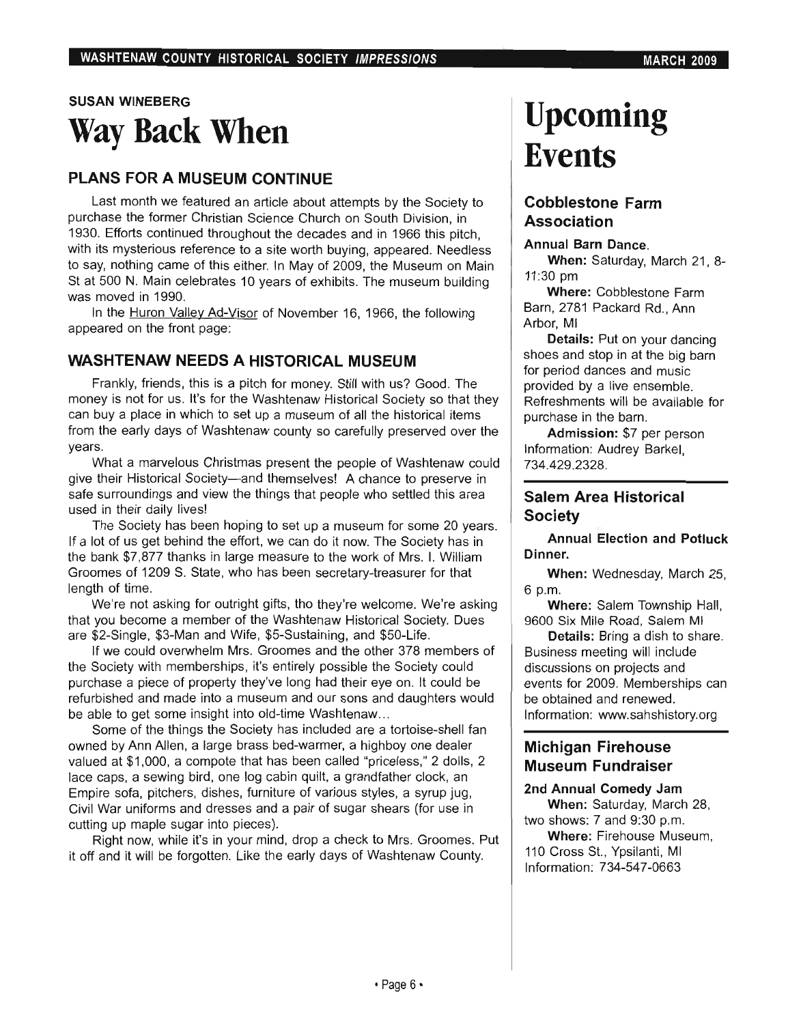## SUSAN WINEBERG **Way Back When**

### PLANS FOR A MUSEUM CONTINUE

Last month we featured an article about attempts by the Society to purchase the former Christian Science Church on South Division, in 1930. Efforts continued throughout the decades and in 1966 this pitch, with its mysterious reference to a site worth buying, appeared. Needless to say, nothing came of this either. In May of 2009, the Museum on Main St at 500 N. Main celebrates 10 years of exhibits. The museum building was moved in 1990.

In the Huron Valley Ad-Visor of November 16, 1966, the following appeared on the front page:

### WASHTENAW NEEDS A HISTORICAL MUSEUM

Frankly, friends, this is a pitch for money. Still with us? Good. The money is not for us. It's for the Washtenaw Historical Society so that they can buy a place in which to set up a museum of all the historical items from the early days of Washtenaw county so carefully preserved over the years.

What a marvelous Christmas present the people of Washtenaw could give their Historical Society-and themselves! A chance to preserve in safe surroundings and view the things that people who settled this area used in their daily lives!

The Society has been hoping to set up a museum for some 20 years. If a lot of us get behind the effort, we can do it now. The Society has in the bank \$7,877 thanks in large measure to the work of Mrs. I. William Groomes of 1209 S. State, who has been secretary-treasurer for that length of time.

We're not asking for outright gifts, tho they're welcome. We're asking that you become a member of the Washtenaw Historical Society. Dues are \$2-Single, \$3-Man and Wife, \$5-Sustaining, and \$50-Life.

If we could overwhelm Mrs. Groomes and the other 378 members of the Society with memberships, it's entirely possible the Society could purchase a piece of property they've long had their eye on. It could be refurbished and made into a museum and our sons and daughters would be able to get some insight into old-time Washtenaw...

Some of the things the Society has included are a tortoise-shell fan owned by Ann Allen, a large brass bed-warmer, a highboy one dealer valued at \$1,000, a compote that has been called "priceless," 2 dolls, 2 lace caps, a sewing bird, one log cabin quilt, a grandfather clock, an Empire sofa, pitchers, dishes, furniture of various styles, a syrup jug, Civil War uniforms and dresses and a pair of sugar shears (for use in cutting up maple sugar into pieces).

Right now, while it's in your mind, drop a check to Mrs. Groomes. Put it off and it will be forgotten. Like the early days of Washtenaw County.

# **Upcoming Events**

### Cobblestone Farm Association

### Annual Barn Dance.

When: Saturday, March 21, 8- 11:30 pm

Where: Cobblestone Farm Barn, 2781 Packard Rd., Ann Arbor, MI

Details: Put on your dancing shoes and stop in at the big barn for period dances and music provided by a live ensemble. Refreshments will be available for purchase in the barn.

Admission: \$7 per person Information: Audrey Barkel, 734.429.2328.

### Salem Area Historical Society

Annual Election and Potluck Dinner.

When: Wednesday, March 25, 6 p.m.

Where: Salem Township Hall, 9600 Six Mile Road, Salem MI

Details: Bring a dish to share. Business meeting will include discussions on projects and events for 2009. Memberships can be obtained and renewed. Information: www.sahshistory.org

## Michigan Firehouse Museum Fundraiser

### 2nd Annual Comedy Jam When: Saturday, March 28,

two shows: 7 and 9:30 p.m. Where: Firehouse Museum,

110 Cross St., Ypsilanti, MI Information: 734-547-0663